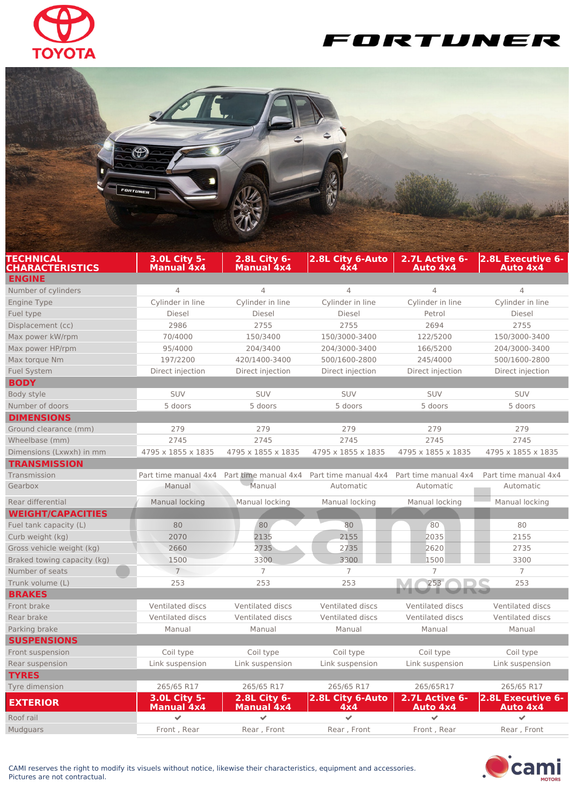





| .               |                                          |                                          |                         |             |                                              |
|-----------------|------------------------------------------|------------------------------------------|-------------------------|-------------|----------------------------------------------|
| Tyre dimension  | 265/65 R17                               | 265/65 R17                               | 265/65 R17              | 265/65R17   | 265/65 R17                                   |
| <b>EXTERIOR</b> | <b>3.0L City 5-</b><br><b>Manual 4x4</b> | <b>2.8L City 6-</b><br><b>Manual 4x4</b> | 2.8L City 6-Auto<br>4x4 | Auto 4x4    | 2.7L Active 6- 2.8L Executive 6-<br>Auto 4x4 |
| Roof rail       | w                                        |                                          |                         |             |                                              |
| Mudguars        | Front, Rear                              | Rear, Front                              | Rear, Front             | Front, Rear | Rear, Front                                  |
|                 |                                          |                                          |                         |             |                                              |



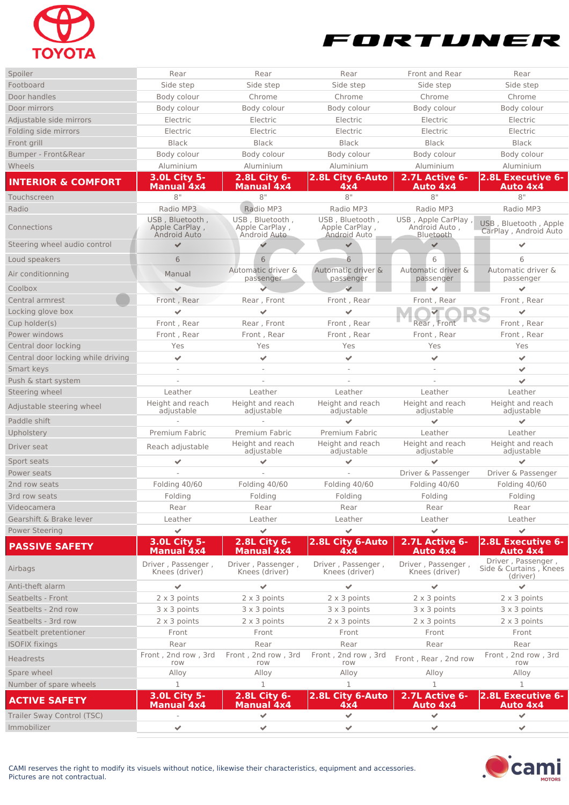



| Spoiler                                   | Rear                                     | Rear                                      | Rear                                 | Front and Rear                       | Rear                                                     |
|-------------------------------------------|------------------------------------------|-------------------------------------------|--------------------------------------|--------------------------------------|----------------------------------------------------------|
| Footboard                                 | Side step                                | Side step                                 | Side step                            | Side step                            | Side step                                                |
| Door handles                              | Body colour                              | Chrome                                    | Chrome                               | Chrome                               | Chrome                                                   |
| Door mirrors                              | Body colour                              | Body colour                               | Body colour                          | Body colour                          | Body colour                                              |
| Adjustable side mirrors                   | Electric                                 | Electric                                  | Electric                             | Electric                             | Electric                                                 |
| Folding side mirrors                      | Electric                                 | Electric                                  | Electric                             | Electric                             | Electric                                                 |
| Front grill                               | <b>Black</b>                             | <b>Black</b>                              | <b>Black</b>                         | <b>Black</b>                         | <b>Black</b>                                             |
| Bumper - Front&Rear                       | Body colour                              | Body colour                               | Body colour                          | Body colour                          | Body colour                                              |
| Wheels                                    | Aluminium                                | Aluminium                                 | Aluminium                            | Aluminium                            | Aluminium                                                |
| <b>INTERIOR &amp; COMFORT</b>             | <b>3.0L City 5-</b>                      | 2.8L City 6-                              | 2.8L City 6-Auto                     | 2.7L Active 6-                       | 2.8L Executive 6-                                        |
| Touchscreen                               | <b>Manual 4x4</b><br>8"                  | <b>Manual 4x4</b><br>8"                   | 4x4<br>8"                            | Auto 4x4<br>8"                       | Auto 4x4<br>8"                                           |
| Radio                                     | Radio MP3                                | Radio MP3                                 | Radio MP3                            | Radio MP3                            | Radio MP3                                                |
|                                           | USB, Bluetooth,                          | USB, Bluetooth,                           | USB, Bluetooth,                      | USB, Apple CarPlay,                  |                                                          |
| Connections                               | Apple CarPlay,<br><b>Android Auto</b>    | Apple CarPlay,<br>Android Auto            | Apple CarPlay,<br>Android Auto       | Android Auto,<br>Bluetooth           | USB, Bluetooth, Apple<br>CarPlay, Android Auto           |
| Steering wheel audio control              | ✔                                        |                                           | $\checkmark$                         |                                      |                                                          |
| Loud speakers                             | 6                                        | 6                                         | 6                                    | 6                                    | 6                                                        |
| Air conditionning                         | Manual                                   | Automatic driver &<br>passenger           | Automatic driver &<br>passenger      | Automatic driver &<br>passenger      | Automatic driver &<br>passenger                          |
| Coolbox                                   | $\checkmark$                             |                                           | $\checkmark$                         |                                      | $\mathcal{L}$                                            |
| Central armrest                           | Front, Rear                              | Rear, Front                               | Front, Rear                          | Front, Rear                          | Front, Rear                                              |
| Locking glove box                         | $\checkmark$                             | $\checkmark$                              | ✔                                    |                                      | $\checkmark$                                             |
| Cup holder(s)                             | Front, Rear                              | Rear, Front                               | Front, Rear                          | Rear, Front                          | Front, Rear                                              |
| Power windows                             | Front, Rear                              | Front, Rear                               | Front, Rear                          | Front, Rear                          | Front, Rear                                              |
| Central door locking                      | Yes                                      | Yes                                       | Yes                                  | Yes                                  | Yes                                                      |
| Central door locking while driving        | $\checkmark$                             | $\checkmark$                              | $\checkmark$                         | $\checkmark$                         | $\overline{\mathcal{L}}$                                 |
| Smart keys                                |                                          |                                           |                                      |                                      | $\checkmark$                                             |
| Push & start system                       |                                          |                                           |                                      |                                      | $\overline{\phantom{a}}$                                 |
| Steering wheel                            | Leather                                  | Leather                                   | Leather                              | Leather                              | Leather                                                  |
| Adjustable steering wheel<br>Paddle shift | Height and reach<br>adjustable           | Height and reach<br>adjustable            | Height and reach<br>adjustable       | Height and reach<br>adjustable       | Height and reach<br>adjustable                           |
|                                           |                                          |                                           |                                      |                                      |                                                          |
| Upholstery                                | Premium Fabric                           | <b>Premium Fabric</b><br>Height and reach | Premium Fabric<br>Height and reach   | Leather<br>Height and reach          | Leather<br>Height and reach                              |
| Driver seat<br>Sport seats                | Reach adjustable<br>$\mathcal{L}$        | adjustable<br>✔                           | adjustable<br>✔                      | adjustable                           | adjustable                                               |
| Power seats                               |                                          |                                           |                                      | Driver & Passenger                   | Driver & Passenger                                       |
| 2nd row seats                             | Folding 40/60                            | Folding 40/60                             | Folding 40/60                        | Folding 40/60                        | Folding 40/60                                            |
| 3rd row seats                             | Folding                                  | Folding                                   | Folding                              | Folding                              | Folding                                                  |
| Videocamera                               | Rear                                     | Rear                                      | Rear                                 | Rear                                 | Rear                                                     |
| Gearshift & Brake lever                   | Leather                                  | Leather                                   | Leather                              | Leather                              | Leather                                                  |
| <b>Power Steering</b>                     | $\overline{\phantom{a}}$                 | $\checkmark$                              | $\checkmark$                         | $\checkmark$                         | $\checkmark$                                             |
|                                           | <b>3.0L City 5-</b>                      | 2.8L City 6-                              | 2.8L City 6-Auto                     | 2.7L Active 6-                       | 2.8L Executive 6-                                        |
| <b>PASSIVE SAFETY</b>                     | <b>Manual 4x4</b>                        | <b>Manual 4x4</b>                         | 4x4                                  | Auto 4x4                             | <b>Auto 4x4</b>                                          |
| Airbags                                   | Driver, Passenger,<br>Knees (driver)     | Driver, Passenger,<br>Knees (driver)      | Driver, Passenger,<br>Knees (driver) | Driver, Passenger,<br>Knees (driver) | Driver, Passenger,<br>Side & Curtains, Knees<br>(driver) |
| Anti-theft alarm                          | $\checkmark$                             | $\checkmark$                              | ✔                                    | $\checkmark$                         | $\checkmark$                                             |
| Seatbelts - Front                         | $2 \times 3$ points                      | 2 x 3 points                              | $2 \times 3$ points                  | $2 \times 3$ points                  | $2 \times 3$ points                                      |
| Seatbelts - 2nd row                       | 3 x 3 points                             | 3 x 3 points                              | 3 x 3 points                         | 3 x 3 points                         | 3 x 3 points                                             |
| Seatbelts - 3rd row                       | $2 \times 3$ points                      | $2 \times 3$ points                       | $2 \times 3$ points                  | 2 x 3 points                         | 2 x 3 points                                             |
| Seatbelt pretentioner                     | Front                                    | Front                                     | Front                                | Front                                | Front                                                    |
| <b>ISOFIX fixings</b>                     | Rear                                     | Rear                                      | Rear                                 | Rear                                 | Rear                                                     |
| <b>Headrests</b>                          | Front, 2nd row, 3rd<br>row               | Front, 2nd row, 3rd<br>row                | Front, 2nd row, 3rd<br>row           | Front, Rear, 2nd row                 | Front, 2nd row, 3rd<br>row                               |
| Spare wheel                               | Alloy                                    | Alloy                                     | Alloy                                | Alloy                                | Alloy                                                    |
| Number of spare wheels                    | $\mathbf{1}$                             | $\mathbf{1}$                              | $\mathbf{1}$                         | $\mathbf{1}$                         | $\mathbf{1}$                                             |
| <b>ACTIVE SAFETY</b>                      | <b>3.0L City 5-</b><br><b>Manual 4x4</b> | 2.8L City 6-<br><b>Manual 4x4</b>         | 2.8L City 6-Auto<br>4x4              | 2.7L Active 6-<br><b>Auto 4x4</b>    | 2.8L Executive 6-<br><b>Auto 4x4</b>                     |
| Trailer Sway Control (TSC)                |                                          | ✓                                         | $\mathcal{L}$                        | ✔                                    | $\mathcal{L}_{\mathcal{F}}$                              |
| Immobilizer                               | ✔                                        | $\mathcal{L}$                             | ✔                                    | $\checkmark$                         | $\checkmark$                                             |
|                                           |                                          |                                           |                                      |                                      |                                                          |